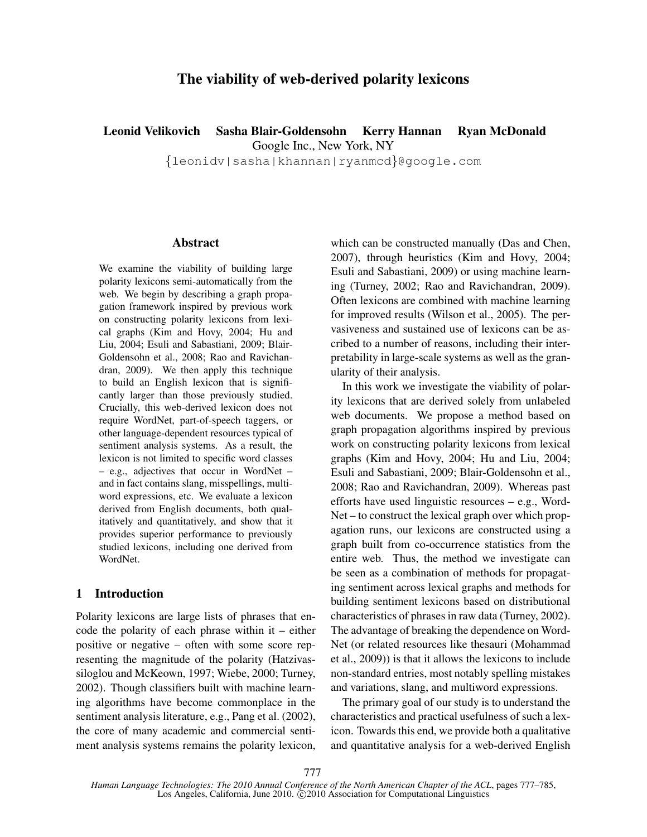# The viability of web-derived polarity lexicons

Leonid Velikovich Sasha Blair-Goldensohn Kerry Hannan Ryan McDonald

Google Inc., New York, NY

{leonidv|sasha|khannan|ryanmcd}@google.com

#### Abstract

We examine the viability of building large polarity lexicons semi-automatically from the web. We begin by describing a graph propagation framework inspired by previous work on constructing polarity lexicons from lexical graphs (Kim and Hovy, 2004; Hu and Liu, 2004; Esuli and Sabastiani, 2009; Blair-Goldensohn et al., 2008; Rao and Ravichandran, 2009). We then apply this technique to build an English lexicon that is significantly larger than those previously studied. Crucially, this web-derived lexicon does not require WordNet, part-of-speech taggers, or other language-dependent resources typical of sentiment analysis systems. As a result, the lexicon is not limited to specific word classes – e.g., adjectives that occur in WordNet – and in fact contains slang, misspellings, multiword expressions, etc. We evaluate a lexicon derived from English documents, both qualitatively and quantitatively, and show that it provides superior performance to previously studied lexicons, including one derived from WordNet.

# 1 Introduction

Polarity lexicons are large lists of phrases that encode the polarity of each phrase within it – either positive or negative – often with some score representing the magnitude of the polarity (Hatzivassiloglou and McKeown, 1997; Wiebe, 2000; Turney, 2002). Though classifiers built with machine learning algorithms have become commonplace in the sentiment analysis literature, e.g., Pang et al. (2002), the core of many academic and commercial sentiment analysis systems remains the polarity lexicon, which can be constructed manually (Das and Chen, 2007), through heuristics (Kim and Hovy, 2004; Esuli and Sabastiani, 2009) or using machine learning (Turney, 2002; Rao and Ravichandran, 2009). Often lexicons are combined with machine learning for improved results (Wilson et al., 2005). The pervasiveness and sustained use of lexicons can be ascribed to a number of reasons, including their interpretability in large-scale systems as well as the granularity of their analysis.

In this work we investigate the viability of polarity lexicons that are derived solely from unlabeled web documents. We propose a method based on graph propagation algorithms inspired by previous work on constructing polarity lexicons from lexical graphs (Kim and Hovy, 2004; Hu and Liu, 2004; Esuli and Sabastiani, 2009; Blair-Goldensohn et al., 2008; Rao and Ravichandran, 2009). Whereas past efforts have used linguistic resources – e.g., Word-Net – to construct the lexical graph over which propagation runs, our lexicons are constructed using a graph built from co-occurrence statistics from the entire web. Thus, the method we investigate can be seen as a combination of methods for propagating sentiment across lexical graphs and methods for building sentiment lexicons based on distributional characteristics of phrases in raw data (Turney, 2002). The advantage of breaking the dependence on Word-Net (or related resources like thesauri (Mohammad et al., 2009)) is that it allows the lexicons to include non-standard entries, most notably spelling mistakes and variations, slang, and multiword expressions.

The primary goal of our study is to understand the characteristics and practical usefulness of such a lexicon. Towards this end, we provide both a qualitative and quantitative analysis for a web-derived English

*Human Language Technologies: The 2010 Annual Conference of the North American Chapter of the ACL*, pages 777–785, Los Angeles, California, June 2010. C 2010 Association for Computational Linguistics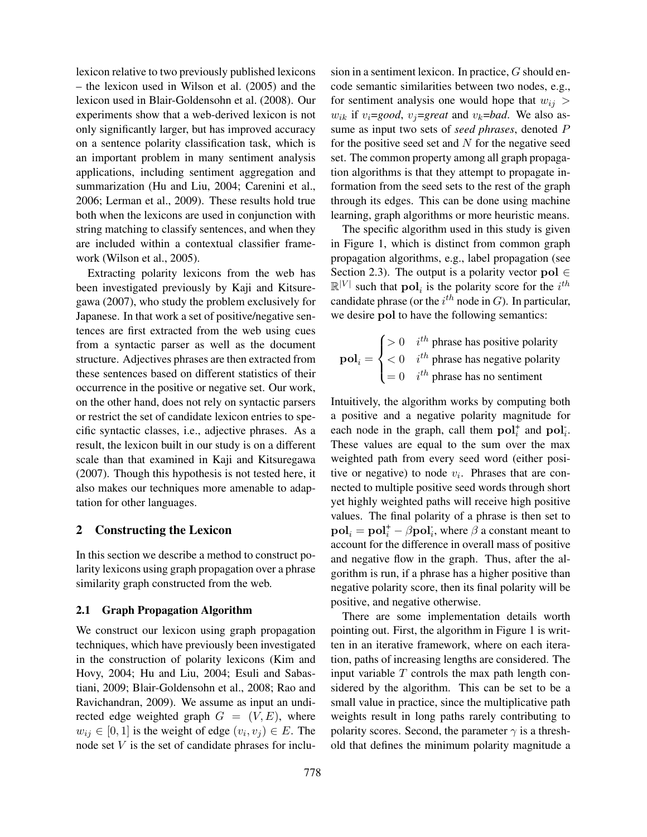lexicon relative to two previously published lexicons – the lexicon used in Wilson et al. (2005) and the lexicon used in Blair-Goldensohn et al. (2008). Our experiments show that a web-derived lexicon is not only significantly larger, but has improved accuracy on a sentence polarity classification task, which is an important problem in many sentiment analysis applications, including sentiment aggregation and summarization (Hu and Liu, 2004; Carenini et al., 2006; Lerman et al., 2009). These results hold true both when the lexicons are used in conjunction with string matching to classify sentences, and when they are included within a contextual classifier framework (Wilson et al., 2005).

Extracting polarity lexicons from the web has been investigated previously by Kaji and Kitsuregawa (2007), who study the problem exclusively for Japanese. In that work a set of positive/negative sentences are first extracted from the web using cues from a syntactic parser as well as the document structure. Adjectives phrases are then extracted from these sentences based on different statistics of their occurrence in the positive or negative set. Our work, on the other hand, does not rely on syntactic parsers or restrict the set of candidate lexicon entries to specific syntactic classes, i.e., adjective phrases. As a result, the lexicon built in our study is on a different scale than that examined in Kaji and Kitsuregawa (2007). Though this hypothesis is not tested here, it also makes our techniques more amenable to adaptation for other languages.

## 2 Constructing the Lexicon

In this section we describe a method to construct polarity lexicons using graph propagation over a phrase similarity graph constructed from the web.

## 2.1 Graph Propagation Algorithm

We construct our lexicon using graph propagation techniques, which have previously been investigated in the construction of polarity lexicons (Kim and Hovy, 2004; Hu and Liu, 2004; Esuli and Sabastiani, 2009; Blair-Goldensohn et al., 2008; Rao and Ravichandran, 2009). We assume as input an undirected edge weighted graph  $G = (V, E)$ , where  $w_{ij} \in [0,1]$  is the weight of edge  $(v_i, v_j) \in E$ . The node set  $V$  is the set of candidate phrases for inclusion in a sentiment lexicon. In practice, G should encode semantic similarities between two nodes, e.g., for sentiment analysis one would hope that  $w_{ij} >$  $w_{ik}$  if  $v_i$ =*good*,  $v_j$ =*great* and  $v_k$ =*bad*. We also assume as input two sets of *seed phrases*, denoted P for the positive seed set and  $N$  for the negative seed set. The common property among all graph propagation algorithms is that they attempt to propagate information from the seed sets to the rest of the graph through its edges. This can be done using machine learning, graph algorithms or more heuristic means.

The specific algorithm used in this study is given in Figure 1, which is distinct from common graph propagation algorithms, e.g., label propagation (see Section 2.3). The output is a polarity vector pol  $\in$  $\mathbb{R}^{|V|}$  such that  $\textbf{pol}_i$  is the polarity score for the  $i^{th}$ candidate phrase (or the  $i^{th}$  node in G). In particular, we desire pol to have the following semantics:

$$
\mathbf{pol}_i = \begin{cases} > 0 & i^{th} \text{ phrase has positive polarity} \\ < 0 & i^{th} \text{ phrase has negative polarity} \\ = 0 & i^{th} \text{ phrase has no sentiment} \end{cases}
$$

Intuitively, the algorithm works by computing both a positive and a negative polarity magnitude for each node in the graph, call them  $\text{pol}_i^+$  and  $\text{pol}_i^-$ . These values are equal to the sum over the max weighted path from every seed word (either positive or negative) to node  $v_i$ . Phrases that are connected to multiple positive seed words through short yet highly weighted paths will receive high positive values. The final polarity of a phrase is then set to  $\mathbf{pol}_i = \mathbf{pol}_i^+ - \beta \mathbf{pol}_i^+$ , where  $\beta$  a constant meant to account for the difference in overall mass of positive and negative flow in the graph. Thus, after the algorithm is run, if a phrase has a higher positive than negative polarity score, then its final polarity will be positive, and negative otherwise.

There are some implementation details worth pointing out. First, the algorithm in Figure 1 is written in an iterative framework, where on each iteration, paths of increasing lengths are considered. The input variable  $T$  controls the max path length considered by the algorithm. This can be set to be a small value in practice, since the multiplicative path weights result in long paths rarely contributing to polarity scores. Second, the parameter  $\gamma$  is a threshold that defines the minimum polarity magnitude a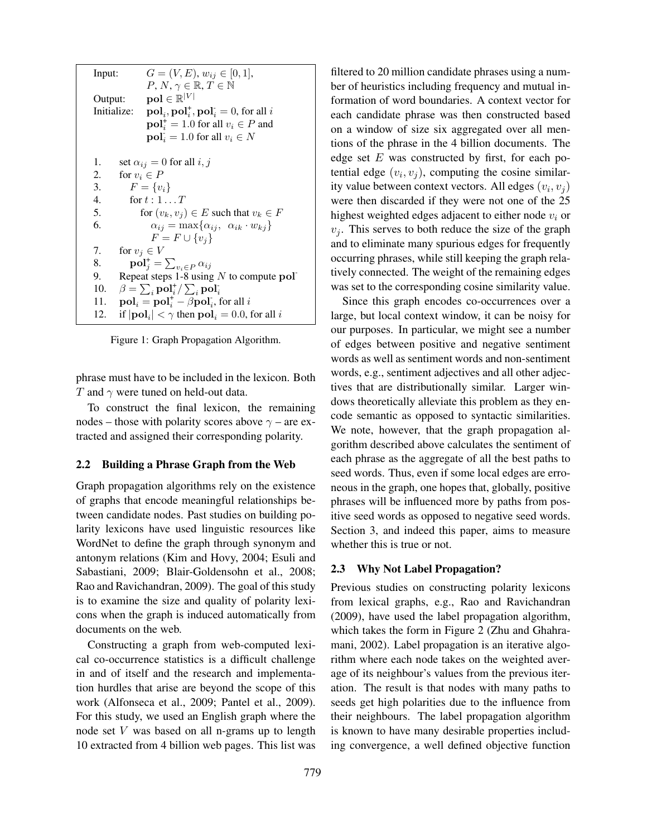Input:  $G = (V, E), w_{ij} \in [0, 1],$  $P, N, \gamma \in \mathbb{R}, T \in \mathbb{N}$ Output:  $\mathbf{pol} \in \mathbb{R}^{|V|}$ Initialize: ,  $\mathbf{pol}_i^*$ ,  $\mathbf{pol}_i^* = 0$ , for all *i*  $\textbf{pol}_i^+ = 1.0$  for all  $v_i \in P$  and  $\textbf{pol}_i = 1.0$  for all  $v_i \in N$ 1. set  $\alpha_{ij} = 0$  for all  $i, j$ 2. for  $v_i \in P$ 3.  $F = \{v_i\}$ 4. for  $t: 1 \ldots T$ 5. for  $(v_k, v_j) \in E$  such that  $v_k \in F$ 6.  $\alpha_{ij} = \max\{\alpha_{ij}, \ \alpha_{ik} \cdot w_{kj}\}\$  $F = F \cup \{v_i\}$ 7. for  $v_i \in V$ 8.  $\operatorname{pol}_j^+ = \sum_{v_i \in P} \alpha_{ij}$ 9. Repeat steps 1-8 using  $N$  to compute pol-10.  $\beta = \sum_i \text{pol}_i^+ / \sum_i \text{pol}_i^+$ 11.  $\mathbf{pol}_i = \mathbf{pol}_i^+ - \beta \mathbf{pol}_i$ , for all i 12. if  $|\mathbf{pol}_i| < \gamma$  then  $\mathbf{pol}_i = 0.0$ , for all i

Figure 1: Graph Propagation Algorithm.

phrase must have to be included in the lexicon. Both T and  $\gamma$  were tuned on held-out data.

To construct the final lexicon, the remaining nodes – those with polarity scores above  $\gamma$  – are extracted and assigned their corresponding polarity.

## 2.2 Building a Phrase Graph from the Web

Graph propagation algorithms rely on the existence of graphs that encode meaningful relationships between candidate nodes. Past studies on building polarity lexicons have used linguistic resources like WordNet to define the graph through synonym and antonym relations (Kim and Hovy, 2004; Esuli and Sabastiani, 2009; Blair-Goldensohn et al., 2008; Rao and Ravichandran, 2009). The goal of this study is to examine the size and quality of polarity lexicons when the graph is induced automatically from documents on the web.

Constructing a graph from web-computed lexical co-occurrence statistics is a difficult challenge in and of itself and the research and implementation hurdles that arise are beyond the scope of this work (Alfonseca et al., 2009; Pantel et al., 2009). For this study, we used an English graph where the node set V was based on all n-grams up to length 10 extracted from 4 billion web pages. This list was filtered to 20 million candidate phrases using a number of heuristics including frequency and mutual information of word boundaries. A context vector for each candidate phrase was then constructed based on a window of size six aggregated over all mentions of the phrase in the 4 billion documents. The edge set  $E$  was constructed by first, for each potential edge  $(v_i, v_j)$ , computing the cosine similarity value between context vectors. All edges  $(v_i, v_j)$ were then discarded if they were not one of the 25 highest weighted edges adjacent to either node  $v_i$  or  $v_i$ . This serves to both reduce the size of the graph and to eliminate many spurious edges for frequently occurring phrases, while still keeping the graph relatively connected. The weight of the remaining edges was set to the corresponding cosine similarity value.

Since this graph encodes co-occurrences over a large, but local context window, it can be noisy for our purposes. In particular, we might see a number of edges between positive and negative sentiment words as well as sentiment words and non-sentiment words, e.g., sentiment adjectives and all other adjectives that are distributionally similar. Larger windows theoretically alleviate this problem as they encode semantic as opposed to syntactic similarities. We note, however, that the graph propagation algorithm described above calculates the sentiment of each phrase as the aggregate of all the best paths to seed words. Thus, even if some local edges are erroneous in the graph, one hopes that, globally, positive phrases will be influenced more by paths from positive seed words as opposed to negative seed words. Section 3, and indeed this paper, aims to measure whether this is true or not.

## 2.3 Why Not Label Propagation?

Previous studies on constructing polarity lexicons from lexical graphs, e.g., Rao and Ravichandran (2009), have used the label propagation algorithm, which takes the form in Figure 2 (Zhu and Ghahramani, 2002). Label propagation is an iterative algorithm where each node takes on the weighted average of its neighbour's values from the previous iteration. The result is that nodes with many paths to seeds get high polarities due to the influence from their neighbours. The label propagation algorithm is known to have many desirable properties including convergence, a well defined objective function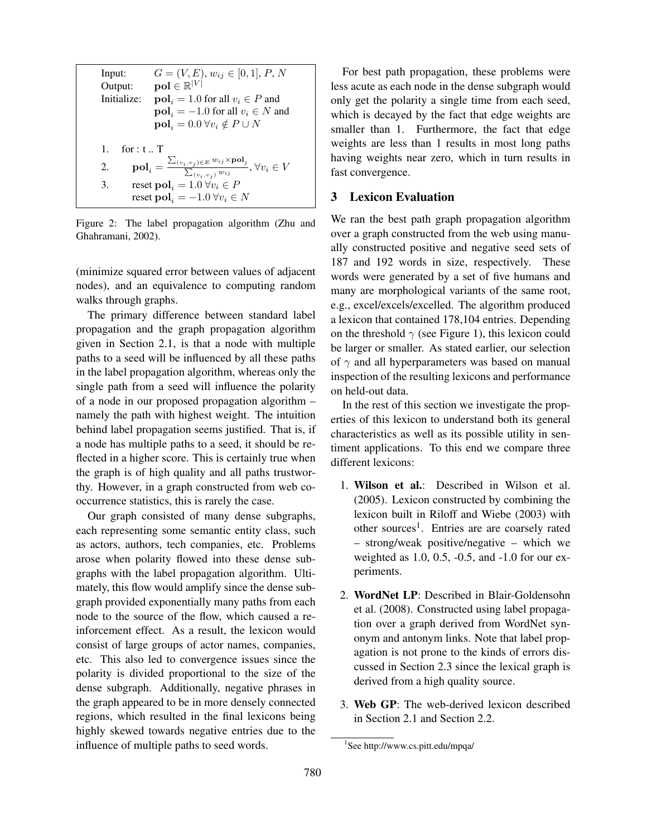Input:  $G = (V, E), w_{ij} \in [0, 1], P, N$ Output:  $\mathbf{pol} \in \mathbb{R}^{|V|}$ Initialize:  $pol<sub>i</sub> = 1.0$  for all  $v<sub>i</sub> \in P$  and  $pol<sub>i</sub> = -1.0$  for all  $v<sub>i</sub> \in N$  and  $pol_i = 0.0 \,\forall v_i \notin P \cup N$ 1. for : t .. T 2.  $\textbf{pol}_i = \frac{\sum_{(v_i, v_j) \in E} w_{ij} \times \textbf{pol}_j}{\sum_{(v_i, v_j) \in W(i)}}$  $\frac{\sum_{(v_i, v_j)} w_{ij}}{\sum_{(v_i, v_j)} w_{ij}}, \forall v_i \in V$ 3. reset  $\textbf{pol}_i = 1.0 \,\forall v_i \in P$ reset pol<sub>i</sub> =  $-1.0 \forall v_i \in N$ 

Figure 2: The label propagation algorithm (Zhu and Ghahramani, 2002).

(minimize squared error between values of adjacent nodes), and an equivalence to computing random walks through graphs.

The primary difference between standard label propagation and the graph propagation algorithm given in Section 2.1, is that a node with multiple paths to a seed will be influenced by all these paths in the label propagation algorithm, whereas only the single path from a seed will influence the polarity of a node in our proposed propagation algorithm – namely the path with highest weight. The intuition behind label propagation seems justified. That is, if a node has multiple paths to a seed, it should be reflected in a higher score. This is certainly true when the graph is of high quality and all paths trustworthy. However, in a graph constructed from web cooccurrence statistics, this is rarely the case.

Our graph consisted of many dense subgraphs, each representing some semantic entity class, such as actors, authors, tech companies, etc. Problems arose when polarity flowed into these dense subgraphs with the label propagation algorithm. Ultimately, this flow would amplify since the dense subgraph provided exponentially many paths from each node to the source of the flow, which caused a reinforcement effect. As a result, the lexicon would consist of large groups of actor names, companies, etc. This also led to convergence issues since the polarity is divided proportional to the size of the dense subgraph. Additionally, negative phrases in the graph appeared to be in more densely connected regions, which resulted in the final lexicons being highly skewed towards negative entries due to the influence of multiple paths to seed words.

For best path propagation, these problems were less acute as each node in the dense subgraph would only get the polarity a single time from each seed, which is decayed by the fact that edge weights are smaller than 1. Furthermore, the fact that edge weights are less than 1 results in most long paths having weights near zero, which in turn results in fast convergence.

# 3 Lexicon Evaluation

We ran the best path graph propagation algorithm over a graph constructed from the web using manually constructed positive and negative seed sets of 187 and 192 words in size, respectively. These words were generated by a set of five humans and many are morphological variants of the same root, e.g., excel/excels/excelled. The algorithm produced a lexicon that contained 178,104 entries. Depending on the threshold  $\gamma$  (see Figure 1), this lexicon could be larger or smaller. As stated earlier, our selection of  $\gamma$  and all hyperparameters was based on manual inspection of the resulting lexicons and performance on held-out data.

In the rest of this section we investigate the properties of this lexicon to understand both its general characteristics as well as its possible utility in sentiment applications. To this end we compare three different lexicons:

- 1. Wilson et al.: Described in Wilson et al. (2005). Lexicon constructed by combining the lexicon built in Riloff and Wiebe (2003) with other sources<sup>1</sup>. Entries are are coarsely rated – strong/weak positive/negative – which we weighted as 1.0, 0.5, -0.5, and -1.0 for our experiments.
- 2. WordNet LP: Described in Blair-Goldensohn et al. (2008). Constructed using label propagation over a graph derived from WordNet synonym and antonym links. Note that label propagation is not prone to the kinds of errors discussed in Section 2.3 since the lexical graph is derived from a high quality source.
- 3. Web GP: The web-derived lexicon described in Section 2.1 and Section 2.2.

<sup>1</sup> See http://www.cs.pitt.edu/mpqa/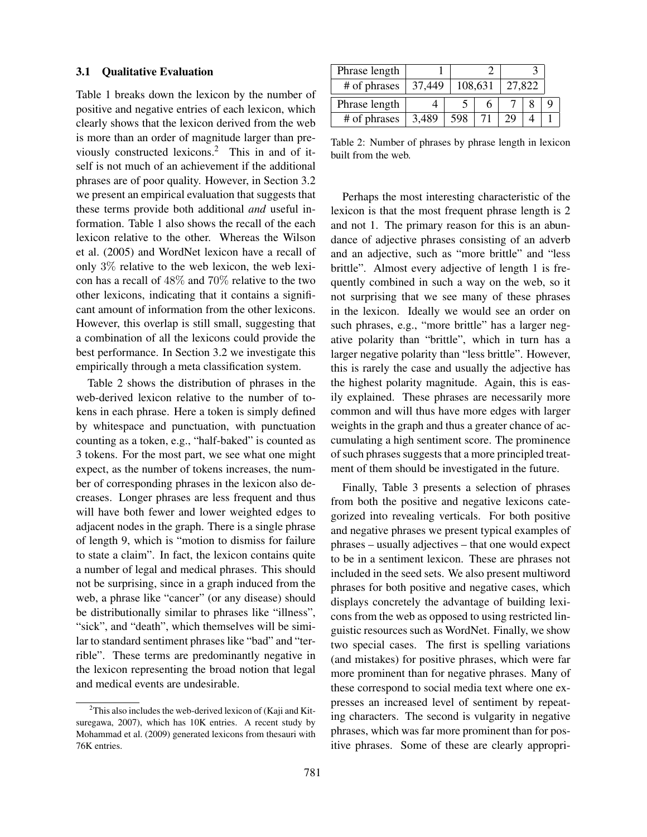#### 3.1 Qualitative Evaluation

Table 1 breaks down the lexicon by the number of positive and negative entries of each lexicon, which clearly shows that the lexicon derived from the web is more than an order of magnitude larger than previously constructed lexicons.<sup>2</sup> This in and of itself is not much of an achievement if the additional phrases are of poor quality. However, in Section 3.2 we present an empirical evaluation that suggests that these terms provide both additional *and* useful information. Table 1 also shows the recall of the each lexicon relative to the other. Whereas the Wilson et al. (2005) and WordNet lexicon have a recall of only 3% relative to the web lexicon, the web lexicon has a recall of 48% and 70% relative to the two other lexicons, indicating that it contains a significant amount of information from the other lexicons. However, this overlap is still small, suggesting that a combination of all the lexicons could provide the best performance. In Section 3.2 we investigate this empirically through a meta classification system.

Table 2 shows the distribution of phrases in the web-derived lexicon relative to the number of tokens in each phrase. Here a token is simply defined by whitespace and punctuation, with punctuation counting as a token, e.g., "half-baked" is counted as 3 tokens. For the most part, we see what one might expect, as the number of tokens increases, the number of corresponding phrases in the lexicon also decreases. Longer phrases are less frequent and thus will have both fewer and lower weighted edges to adjacent nodes in the graph. There is a single phrase of length 9, which is "motion to dismiss for failure to state a claim". In fact, the lexicon contains quite a number of legal and medical phrases. This should not be surprising, since in a graph induced from the web, a phrase like "cancer" (or any disease) should be distributionally similar to phrases like "illness", "sick", and "death", which themselves will be similar to standard sentiment phrases like "bad" and "terrible". These terms are predominantly negative in the lexicon representing the broad notion that legal and medical events are undesirable.

| Phrase length |        |         |        |  |  |
|---------------|--------|---------|--------|--|--|
| # of phrases  | 37.449 | 108,631 | 27,822 |  |  |
| Phrase length |        |         |        |  |  |
| # of phrases  | 3.489  |         |        |  |  |

Table 2: Number of phrases by phrase length in lexicon built from the web.

Perhaps the most interesting characteristic of the lexicon is that the most frequent phrase length is 2 and not 1. The primary reason for this is an abundance of adjective phrases consisting of an adverb and an adjective, such as "more brittle" and "less brittle". Almost every adjective of length 1 is frequently combined in such a way on the web, so it not surprising that we see many of these phrases in the lexicon. Ideally we would see an order on such phrases, e.g., "more brittle" has a larger negative polarity than "brittle", which in turn has a larger negative polarity than "less brittle". However, this is rarely the case and usually the adjective has the highest polarity magnitude. Again, this is easily explained. These phrases are necessarily more common and will thus have more edges with larger weights in the graph and thus a greater chance of accumulating a high sentiment score. The prominence of such phrases suggests that a more principled treatment of them should be investigated in the future.

Finally, Table 3 presents a selection of phrases from both the positive and negative lexicons categorized into revealing verticals. For both positive and negative phrases we present typical examples of phrases – usually adjectives – that one would expect to be in a sentiment lexicon. These are phrases not included in the seed sets. We also present multiword phrases for both positive and negative cases, which displays concretely the advantage of building lexicons from the web as opposed to using restricted linguistic resources such as WordNet. Finally, we show two special cases. The first is spelling variations (and mistakes) for positive phrases, which were far more prominent than for negative phrases. Many of these correspond to social media text where one expresses an increased level of sentiment by repeating characters. The second is vulgarity in negative phrases, which was far more prominent than for positive phrases. Some of these are clearly appropri-

 $2$ This also includes the web-derived lexicon of (Kaji and Kitsuregawa, 2007), which has 10K entries. A recent study by Mohammad et al. (2009) generated lexicons from thesauri with 76K entries.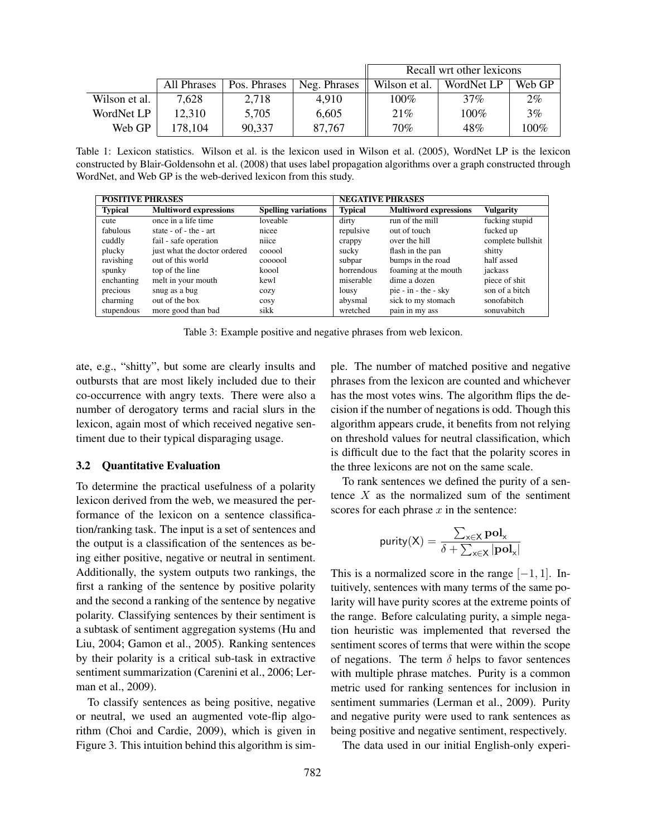|               |             |              |              | Recall wrt other lexicons |            |         |  |
|---------------|-------------|--------------|--------------|---------------------------|------------|---------|--|
|               | All Phrases | Pos. Phrases | Neg. Phrases | Wilson et al.             | WordNet LP | Web GP  |  |
| Wilson et al. | 7,628       | 2,718        | 4.910        | $100\%$                   | $37\%$     | $2\%$   |  |
| WordNet LP    | 12,310      | 5,705        | 6,605        | 21%                       | $100\%$    | 3%      |  |
| Web GP        | 178,104     | 90,337       | 87.767       | 70%                       | 48%        | $100\%$ |  |

Table 1: Lexicon statistics. Wilson et al. is the lexicon used in Wilson et al. (2005), WordNet LP is the lexicon constructed by Blair-Goldensohn et al. (2008) that uses label propagation algorithms over a graph constructed through WordNet, and Web GP is the web-derived lexicon from this study.

| <b>POSITIVE PHRASES</b> |                              |                            | <b>NEGATIVE PHRASES</b> |                              |                   |  |
|-------------------------|------------------------------|----------------------------|-------------------------|------------------------------|-------------------|--|
| <b>Typical</b>          | <b>Multiword expressions</b> | <b>Spelling variations</b> | <b>Typical</b>          | <b>Multiword expressions</b> | Vulgarity         |  |
| cute                    | once in a life time          | loveable                   | dirty                   | run of the mill              | fucking stupid    |  |
| fabulous                | state $-$ of $-$ the $-$ art | nicee                      | repulsive               | out of touch                 | fucked up         |  |
| cuddly                  | fail - safe operation        | niice                      | crappy                  | over the hill                | complete bullshit |  |
| plucky                  | just what the doctor ordered | cooool                     | sucky                   | flash in the pan             | shitty            |  |
| ravishing               | out of this world            | coooool                    | subpar                  | bumps in the road            | half assed        |  |
| spunky                  | top of the line              | koool                      | horrendous              | foaming at the mouth         | jackass           |  |
| enchanting              | melt in your mouth           | kewl                       | miserable               | dime a dozen                 | piece of shit     |  |
| precious                | snug as a bug                | cozy                       | lousy                   | pie - $in - the - sky$       | son of a bitch    |  |
| charming                | out of the box               | cosy                       | abysmal                 | sick to my stomach           | sonofabitch       |  |
| stupendous              | more good than bad           | sikk                       | wretched                | pain in my ass               | sonuvabitch       |  |

Table 3: Example positive and negative phrases from web lexicon.

ate, e.g., "shitty", but some are clearly insults and outbursts that are most likely included due to their co-occurrence with angry texts. There were also a number of derogatory terms and racial slurs in the lexicon, again most of which received negative sentiment due to their typical disparaging usage.

#### 3.2 Quantitative Evaluation

To determine the practical usefulness of a polarity lexicon derived from the web, we measured the performance of the lexicon on a sentence classification/ranking task. The input is a set of sentences and the output is a classification of the sentences as being either positive, negative or neutral in sentiment. Additionally, the system outputs two rankings, the first a ranking of the sentence by positive polarity and the second a ranking of the sentence by negative polarity. Classifying sentences by their sentiment is a subtask of sentiment aggregation systems (Hu and Liu, 2004; Gamon et al., 2005). Ranking sentences by their polarity is a critical sub-task in extractive sentiment summarization (Carenini et al., 2006; Lerman et al., 2009).

To classify sentences as being positive, negative or neutral, we used an augmented vote-flip algorithm (Choi and Cardie, 2009), which is given in Figure 3. This intuition behind this algorithm is simple. The number of matched positive and negative phrases from the lexicon are counted and whichever has the most votes wins. The algorithm flips the decision if the number of negations is odd. Though this algorithm appears crude, it benefits from not relying on threshold values for neutral classification, which is difficult due to the fact that the polarity scores in the three lexicons are not on the same scale.

To rank sentences we defined the purity of a sentence  $X$  as the normalized sum of the sentiment scores for each phrase  $x$  in the sentence:

$$
\text{purity}(\mathsf{X}) = \frac{\sum_{\mathsf{x} \in \mathsf{X}} \mathbf{pol}_{\mathsf{x}}}{\delta + \sum_{\mathsf{x} \in \mathsf{X}} |\mathbf{pol}_{\mathsf{x}}|}
$$

This is a normalized score in the range  $[-1, 1]$ . Intuitively, sentences with many terms of the same polarity will have purity scores at the extreme points of the range. Before calculating purity, a simple negation heuristic was implemented that reversed the sentiment scores of terms that were within the scope of negations. The term  $\delta$  helps to favor sentences with multiple phrase matches. Purity is a common metric used for ranking sentences for inclusion in sentiment summaries (Lerman et al., 2009). Purity and negative purity were used to rank sentences as being positive and negative sentiment, respectively.

The data used in our initial English-only experi-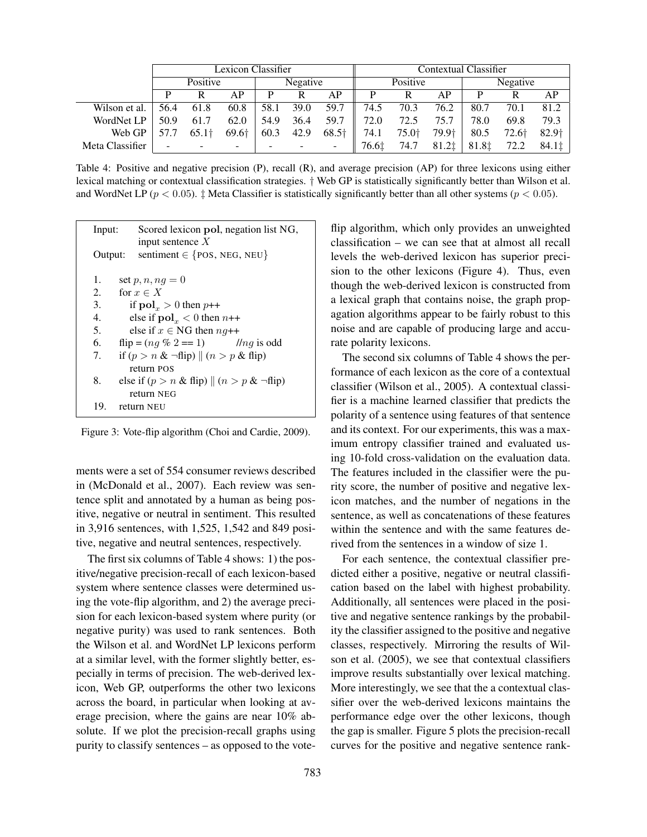|                 | Lexicon Classifier |                   |          |      |          |       | Contextual Classifier |          |                   |       |       |                   |
|-----------------|--------------------|-------------------|----------|------|----------|-------|-----------------------|----------|-------------------|-------|-------|-------------------|
|                 | Positive           |                   | Negative |      | Positive |       |                       | Negative |                   |       |       |                   |
|                 |                    | R                 | AР       | P    | R        | AP    |                       |          | АP                | D     | R     | АP                |
| Wilson et al.   | 56.4               | 61.8              | 60.8     | 58.1 | 39.0     | 59.7  | 74.5                  | 70.3     | 76.2              | 80.7  | 70.1  | 81.2              |
| WordNet LP      | 50.9               | 61.7              | 62.0     | 54.9 | 36.4     | 59.7  | 72.0                  | 72.5     | 75.7              | 78.0  | 69.8  | 79.3              |
| Web GP          | 57.7               | 65.1 <sup>†</sup> | 69.6†    | 60.3 | 42.9     | 68.5† | 74.1                  | 75.0†    | 79.9 <sup>+</sup> | 80.5  | 72.6† | 82.9 <sup>+</sup> |
| Meta Classifier |                    |                   | -        |      |          | -     | 76.6‡                 | 74.7     | 81.2‡             | 81.8‡ | 72.2  | 84.1‡             |

Table 4: Positive and negative precision (P), recall (R), and average precision (AP) for three lexicons using either lexical matching or contextual classification strategies. † Web GP is statistically significantly better than Wilson et al. and WordNet LP ( $p < 0.05$ ).  $\ddagger$  Meta Classifier is statistically significantly better than all other systems ( $p < 0.05$ ).

| Input:  | Scored lexicon pol, negation list NG,<br>input sentence $X$ |
|---------|-------------------------------------------------------------|
| Output: | sentiment $\in \{pos, NEG, NEW\}$                           |
| 1.      | set $p, n, nq = 0$                                          |
| 2.      | for $x \in X$                                               |
| 3.      | if $\text{pol}_x > 0$ then $p++$                            |
| 4.      | else if $polx < 0$ then $n++$                               |
| 5.      | else if $x \in NG$ then $ng++$                              |
| 6.      | $flip = (nq\% 2 == 1)$ //nq is odd                          |
| 7.      | if $(p > n \& \neg \text{flip})    (n > p \& \text{flip})$  |
|         | return POS                                                  |
| 8.      | else if $(p > n \& \text{flip})    (n > p \& \text{flip})$  |
|         | return NEG                                                  |
| 19.     | return NEU                                                  |

Figure 3: Vote-flip algorithm (Choi and Cardie, 2009).

ments were a set of 554 consumer reviews described in (McDonald et al., 2007). Each review was sentence split and annotated by a human as being positive, negative or neutral in sentiment. This resulted in 3,916 sentences, with 1,525, 1,542 and 849 positive, negative and neutral sentences, respectively.

The first six columns of Table 4 shows: 1) the positive/negative precision-recall of each lexicon-based system where sentence classes were determined using the vote-flip algorithm, and 2) the average precision for each lexicon-based system where purity (or negative purity) was used to rank sentences. Both the Wilson et al. and WordNet LP lexicons perform at a similar level, with the former slightly better, especially in terms of precision. The web-derived lexicon, Web GP, outperforms the other two lexicons across the board, in particular when looking at average precision, where the gains are near 10% absolute. If we plot the precision-recall graphs using purity to classify sentences – as opposed to the voteflip algorithm, which only provides an unweighted classification – we can see that at almost all recall levels the web-derived lexicon has superior precision to the other lexicons (Figure 4). Thus, even though the web-derived lexicon is constructed from a lexical graph that contains noise, the graph propagation algorithms appear to be fairly robust to this noise and are capable of producing large and accurate polarity lexicons.

The second six columns of Table 4 shows the performance of each lexicon as the core of a contextual classifier (Wilson et al., 2005). A contextual classifier is a machine learned classifier that predicts the polarity of a sentence using features of that sentence and its context. For our experiments, this was a maximum entropy classifier trained and evaluated using 10-fold cross-validation on the evaluation data. The features included in the classifier were the purity score, the number of positive and negative lexicon matches, and the number of negations in the sentence, as well as concatenations of these features within the sentence and with the same features derived from the sentences in a window of size 1.

For each sentence, the contextual classifier predicted either a positive, negative or neutral classification based on the label with highest probability. Additionally, all sentences were placed in the positive and negative sentence rankings by the probability the classifier assigned to the positive and negative classes, respectively. Mirroring the results of Wilson et al. (2005), we see that contextual classifiers improve results substantially over lexical matching. More interestingly, we see that the a contextual classifier over the web-derived lexicons maintains the performance edge over the other lexicons, though the gap is smaller. Figure 5 plots the precision-recall curves for the positive and negative sentence rank-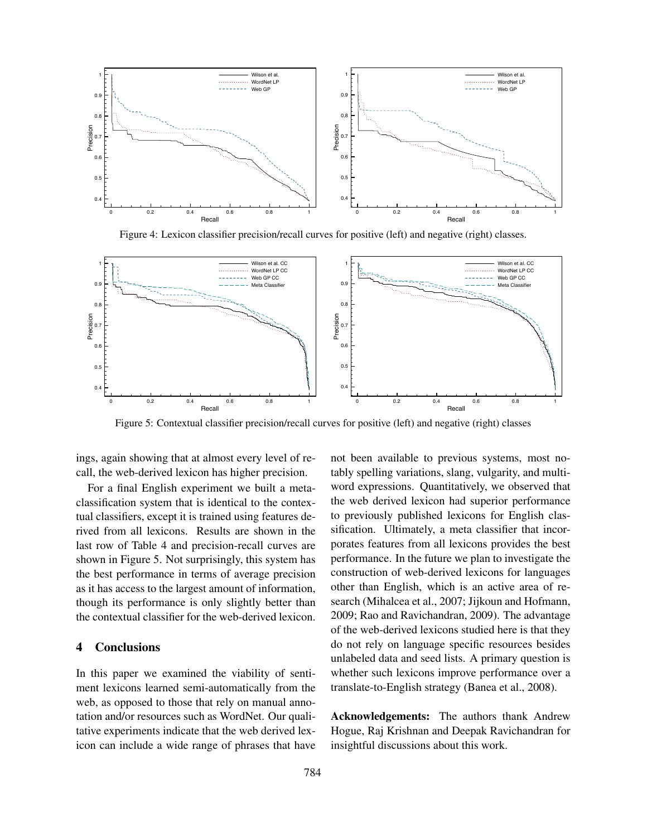

Figure 4: Lexicon classifier precision/recall curves for positive (left) and negative (right) classes.



Figure 5: Contextual classifier precision/recall curves for positive (left) and negative (right) classes

ings, again showing that at almost every level of recall, the web-derived lexicon has higher precision.

For a final English experiment we built a metaclassification system that is identical to the contextual classifiers, except it is trained using features derived from all lexicons. Results are shown in the last row of Table 4 and precision-recall curves are shown in Figure 5. Not surprisingly, this system has the best performance in terms of average precision as it has access to the largest amount of information, though its performance is only slightly better than the contextual classifier for the web-derived lexicon.

#### 4 Conclusions

In this paper we examined the viability of sentiment lexicons learned semi-automatically from the web, as opposed to those that rely on manual annotation and/or resources such as WordNet. Our qualitative experiments indicate that the web derived lexicon can include a wide range of phrases that have not been available to previous systems, most notably spelling variations, slang, vulgarity, and multiword expressions. Quantitatively, we observed that the web derived lexicon had superior performance to previously published lexicons for English classification. Ultimately, a meta classifier that incorporates features from all lexicons provides the best performance. In the future we plan to investigate the construction of web-derived lexicons for languages other than English, which is an active area of research (Mihalcea et al., 2007; Jijkoun and Hofmann, 2009; Rao and Ravichandran, 2009). The advantage of the web-derived lexicons studied here is that they do not rely on language specific resources besides unlabeled data and seed lists. A primary question is whether such lexicons improve performance over a translate-to-English strategy (Banea et al., 2008).

Acknowledgements: The authors thank Andrew Hogue, Raj Krishnan and Deepak Ravichandran for insightful discussions about this work.